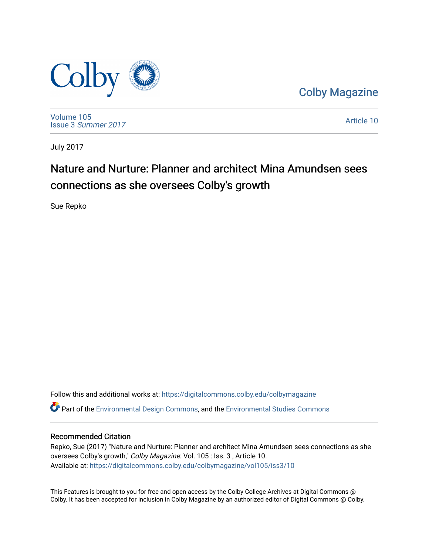

[Colby Magazine](https://digitalcommons.colby.edu/colbymagazine) 

[Volume 105](https://digitalcommons.colby.edu/colbymagazine/vol105) Issue 3 [Summer 2017](https://digitalcommons.colby.edu/colbymagazine/vol105/iss3) 

[Article 10](https://digitalcommons.colby.edu/colbymagazine/vol105/iss3/10) 

July 2017

## Nature and Nurture: Planner and architect Mina Amundsen sees connections as she oversees Colby's growth

Sue Repko

Follow this and additional works at: [https://digitalcommons.colby.edu/colbymagazine](https://digitalcommons.colby.edu/colbymagazine?utm_source=digitalcommons.colby.edu%2Fcolbymagazine%2Fvol105%2Fiss3%2F10&utm_medium=PDF&utm_campaign=PDFCoverPages) Part of the [Environmental Design Commons,](http://network.bepress.com/hgg/discipline/777?utm_source=digitalcommons.colby.edu%2Fcolbymagazine%2Fvol105%2Fiss3%2F10&utm_medium=PDF&utm_campaign=PDFCoverPages) and the [Environmental Studies Commons](http://network.bepress.com/hgg/discipline/1333?utm_source=digitalcommons.colby.edu%2Fcolbymagazine%2Fvol105%2Fiss3%2F10&utm_medium=PDF&utm_campaign=PDFCoverPages) 

#### Recommended Citation

Repko, Sue (2017) "Nature and Nurture: Planner and architect Mina Amundsen sees connections as she oversees Colby's growth," Colby Magazine: Vol. 105 : Iss. 3 , Article 10. Available at: [https://digitalcommons.colby.edu/colbymagazine/vol105/iss3/10](https://digitalcommons.colby.edu/colbymagazine/vol105/iss3/10?utm_source=digitalcommons.colby.edu%2Fcolbymagazine%2Fvol105%2Fiss3%2F10&utm_medium=PDF&utm_campaign=PDFCoverPages)

This Features is brought to you for free and open access by the Colby College Archives at Digital Commons @ Colby. It has been accepted for inclusion in Colby Magazine by an authorized editor of Digital Commons @ Colby.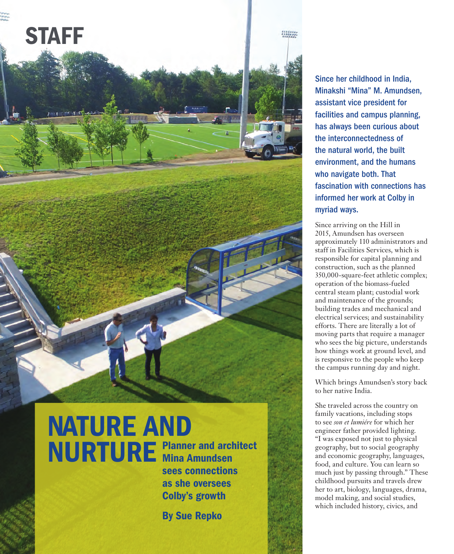

#### Since her childhood in India, Minakshi "Mina" M. Amundsen, assistant vice president for facilities and campus planning, has always been curious about the interconnectedness of the natural world, the built environment, and the humans who navigate both. That fascination with connections has informed her work at Colby in myriad ways.

Since arriving on the Hill in 2015, Amundsen has overseen approximately 110 administrators and staff in Facilities Services, which is responsible for capital planning and construction, such as the planned 350,000-square-feet athletic complex; operation of the biomass-fueled central steam plant; custodial work and maintenance of the grounds; building trades and mechanical and electrical services; and sustainability efforts. There are literally a lot of moving parts that require a manager who sees the big picture, understands how things work at ground level, and is responsive to the people who keep the campus running day and night.

Which brings Amundsen's story back to her native India.

She traveled across the country on family vacations, including stops to see *son et lumiére* for which her engineer father provided lighting. "I was exposed not just to physical geography, but to social geography and economic geography, languages, food, and culture. You can learn so much just by passing through." These childhood pursuits and travels drew her to art, biology, languages, drama, model making, and social studies, which included history, civics, and

# NATURE AND NURTURE Planner and architect Mina Amundsen

COLBY SUMMER 2017

42

sees connections as she oversees Colby's growth

By Sue Repko